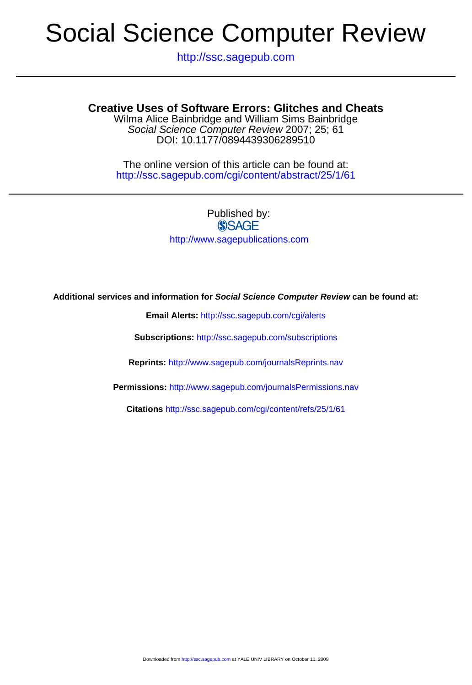http://ssc.sagepub.com

### DOI: 10.1177/0894439306289510 Social Science Computer Review 2007; 25; 61 Wilma Alice Bainbridge and William Sims Bainbridge **Creative Uses of Software Errors: Glitches and Cheats**

http://ssc.sagepub.com/cgi/content/abstract/25/1/61 The online version of this article can be found at:

> Published by: **SSAGE** http://www.sagepublications.com

#### **Additional services and information for Social Science Computer Review can be found at:**

**Email Alerts:** <http://ssc.sagepub.com/cgi/alerts>

**Subscriptions:** <http://ssc.sagepub.com/subscriptions>

**Reprints:** <http://www.sagepub.com/journalsReprints.nav>

**Permissions:** <http://www.sagepub.com/journalsPermissions.nav>

**Citations** <http://ssc.sagepub.com/cgi/content/refs/25/1/61>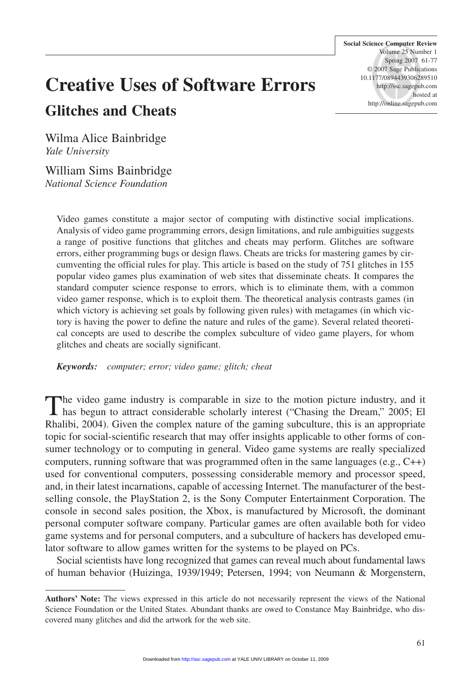**Social Science Computer Review** Volume 25 Number 1 Spring 2007 61-77 © 2007 Sage Publications 10.1177/0894439306289510 http://ssc.sagepub.com hosted at http://online.sagepub.com

## **Creative Uses of Software Errors Glitches and Cheats**

Wilma Alice Bainbridge *Yale University*

William Sims Bainbridge *National Science Foundation*

Video games constitute a major sector of computing with distinctive social implications. Analysis of video game programming errors, design limitations, and rule ambiguities suggests a range of positive functions that glitches and cheats may perform. Glitches are software errors, either programming bugs or design flaws. Cheats are tricks for mastering games by circumventing the official rules for play. This article is based on the study of 751 glitches in 155 popular video games plus examination of web sites that disseminate cheats. It compares the standard computer science response to errors, which is to eliminate them, with a common video gamer response, which is to exploit them. The theoretical analysis contrasts games (in which victory is achieving set goals by following given rules) with metagames (in which victory is having the power to define the nature and rules of the game). Several related theoretical concepts are used to describe the complex subculture of video game players, for whom glitches and cheats are socially significant.

*Keywords: computer; error; video game; glitch; cheat*

The video game industry is comparable in size to the motion picture industry, and it has begun to attract considerable scholarly interest ("Chasing the Dream," 2005; El Rhalibi, 2004). Given the complex nature of the gaming subculture, this is an appropriate topic for social-scientific research that may offer insights applicable to other forms of consumer technology or to computing in general. Video game systems are really specialized computers, running software that was programmed often in the same languages (e.g., C++) used for conventional computers, possessing considerable memory and processor speed, and, in their latest incarnations, capable of accessing Internet. The manufacturer of the bestselling console, the PlayStation 2, is the Sony Computer Entertainment Corporation. The console in second sales position, the Xbox, is manufactured by Microsoft, the dominant personal computer software company. Particular games are often available both for video game systems and for personal computers, and a subculture of hackers has developed emulator software to allow games written for the systems to be played on PCs.

Social scientists have long recognized that games can reveal much about fundamental laws of human behavior (Huizinga, 1939/1949; Petersen, 1994; von Neumann & Morgenstern,

**Authors' Note:** The views expressed in this article do not necessarily represent the views of the National Science Foundation or the United States. Abundant thanks are owed to Constance May Bainbridge, who discovered many glitches and did the artwork for the web site.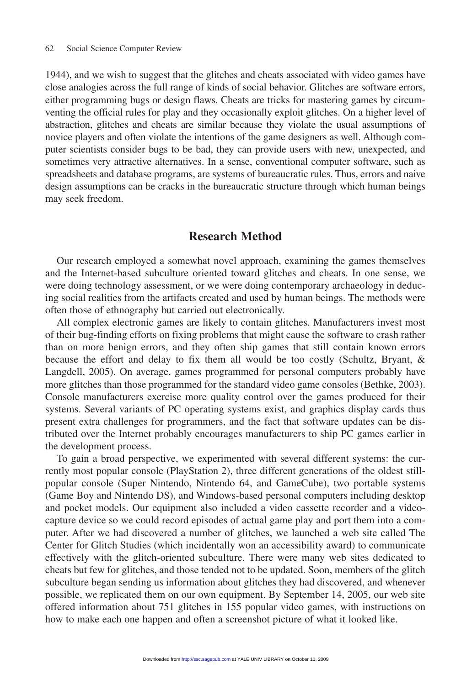1944), and we wish to suggest that the glitches and cheats associated with video games have close analogies across the full range of kinds of social behavior. Glitches are software errors, either programming bugs or design flaws. Cheats are tricks for mastering games by circumventing the official rules for play and they occasionally exploit glitches. On a higher level of abstraction, glitches and cheats are similar because they violate the usual assumptions of novice players and often violate the intentions of the game designers as well. Although computer scientists consider bugs to be bad, they can provide users with new, unexpected, and sometimes very attractive alternatives. In a sense, conventional computer software, such as spreadsheets and database programs, are systems of bureaucratic rules. Thus, errors and naive design assumptions can be cracks in the bureaucratic structure through which human beings may seek freedom.

## **Research Method**

Our research employed a somewhat novel approach, examining the games themselves and the Internet-based subculture oriented toward glitches and cheats. In one sense, we were doing technology assessment, or we were doing contemporary archaeology in deducing social realities from the artifacts created and used by human beings. The methods were often those of ethnography but carried out electronically.

All complex electronic games are likely to contain glitches. Manufacturers invest most of their bug-finding efforts on fixing problems that might cause the software to crash rather than on more benign errors, and they often ship games that still contain known errors because the effort and delay to fix them all would be too costly (Schultz, Bryant, & Langdell, 2005). On average, games programmed for personal computers probably have more glitches than those programmed for the standard video game consoles (Bethke, 2003). Console manufacturers exercise more quality control over the games produced for their systems. Several variants of PC operating systems exist, and graphics display cards thus present extra challenges for programmers, and the fact that software updates can be distributed over the Internet probably encourages manufacturers to ship PC games earlier in the development process.

To gain a broad perspective, we experimented with several different systems: the currently most popular console (PlayStation 2), three different generations of the oldest stillpopular console (Super Nintendo, Nintendo 64, and GameCube), two portable systems (Game Boy and Nintendo DS), and Windows-based personal computers including desktop and pocket models. Our equipment also included a video cassette recorder and a videocapture device so we could record episodes of actual game play and port them into a computer. After we had discovered a number of glitches, we launched a web site called The Center for Glitch Studies (which incidentally won an accessibility award) to communicate effectively with the glitch-oriented subculture. There were many web sites dedicated to cheats but few for glitches, and those tended not to be updated. Soon, members of the glitch subculture began sending us information about glitches they had discovered, and whenever possible, we replicated them on [our own equ](http://ssc.sagepub.com)ipment. By September 14, 2005, our web site offered information about 751 glitches in 155 popular video games, with instructions on how to make each one happen and often a screenshot picture of what it looked like.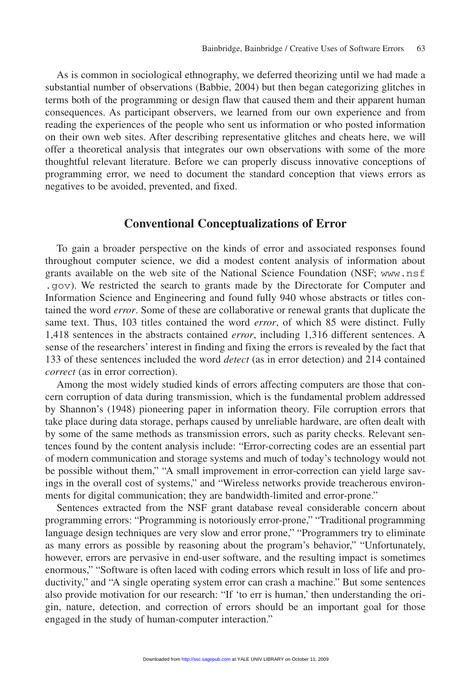As is common in sociological ethnography, we deferred theorizing until we had made a substantial number of observations (Babbie, 2004) but then began categorizing glitches in terms both of the programming or design flaw that caused them and their apparent human consequences. As participant observers, we learned from our own experience and from reading the experiences of the people who sent us information or who posted information on their own web sites. After describing representative glitches and cheats here, we will offer a theoretical analysis that integrates our own observations with some of the more thoughtful relevant literature. Before we can properly discuss innovative conceptions of programming error, we need to document the standard conception that views errors as negatives to be avoided, prevented, and fixed.

## **Conventional Conceptualizations of Error**

To gain a broader perspective on the kinds of error and associated responses found throughout computer science, we did a modest content analysis of information about grants available on the web site of the National Science Foundation (NSF; www.nsf .gov). We restricted the search to grants made by the Directorate for Computer and Information Science and Engineering and found fully 940 whose abstracts or titles contained the word *error*. Some of these are collaborative or renewal grants that duplicate the same text. Thus, 103 titles contained the word *error*, of which 85 were distinct. Fully 1,418 sentences in the abstracts contained *error*, including 1,316 different sentences. A sense of the researchers' interest in finding and fixing the errors is revealed by the fact that 133 of these sentences included the word *detect* (as in error detection) and 214 contained *correct* (as in error correction).

Among the most widely studied kinds of errors affecting computers are those that concern corruption of data during transmission, which is the fundamental problem addressed by Shannon's (1948) pioneering paper in information theory. File corruption errors that take place during data storage, perhaps caused by unreliable hardware, are often dealt with by some of the same methods as transmission errors, such as parity checks. Relevant sentences found by the content analysis include: "Error-correcting codes are an essential part of modern communication and storage systems and much of today's technology would not be possible without them," "A small improvement in error-correction can yield large savings in the overall cost of systems," and "Wireless networks provide treacherous environments for digital communication; they are bandwidth-limited and error-prone."

Sentences extracted from the NSF grant database reveal considerable concern about programming errors: "Programming is notoriously error-prone," "Traditional programming language design techniques are very slow and error prone," "Programmers try to eliminate as many errors as possible by reasoning about the program's behavior," "Unfortunately, however, errors are pervasive in end-user software, and the resulting impact is sometimes enormous," "Software is often laced with coding errors which result in loss of life and productivity," and "A single operating system error can crash a machine." But some sentences also provide motivation for our [research:](http://ssc.sagepub.com) ["If](http://ssc.sagepub.com) 'to err is human,' then understanding the origin, nature, detection, and correction of errors should be an important goal for those engaged in the study of human-computer interaction."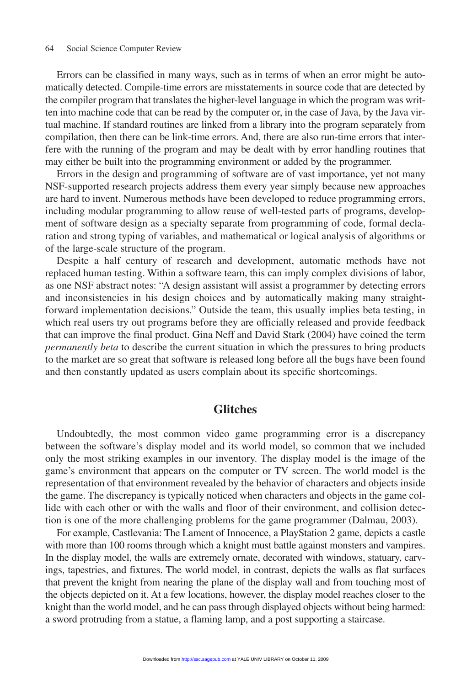Errors can be classified in many ways, such as in terms of when an error might be automatically detected. Compile-time errors are misstatements in source code that are detected by the compiler program that translates the higher-level language in which the program was written into machine code that can be read by the computer or, in the case of Java, by the Java virtual machine. If standard routines are linked from a library into the program separately from compilation, then there can be link-time errors. And, there are also run-time errors that interfere with the running of the program and may be dealt with by error handling routines that may either be built into the programming environment or added by the programmer.

Errors in the design and programming of software are of vast importance, yet not many NSF-supported research projects address them every year simply because new approaches are hard to invent. Numerous methods have been developed to reduce programming errors, including modular programming to allow reuse of well-tested parts of programs, development of software design as a specialty separate from programming of code, formal declaration and strong typing of variables, and mathematical or logical analysis of algorithms or of the large-scale structure of the program.

Despite a half century of research and development, automatic methods have not replaced human testing. Within a software team, this can imply complex divisions of labor, as one NSF abstract notes: "A design assistant will assist a programmer by detecting errors and inconsistencies in his design choices and by automatically making many straightforward implementation decisions." Outside the team, this usually implies beta testing, in which real users try out programs before they are officially released and provide feedback that can improve the final product. Gina Neff and David Stark (2004) have coined the term *permanently beta* to describe the current situation in which the pressures to bring products to the market are so great that software is released long before all the bugs have been found and then constantly updated as users complain about its specific shortcomings.

## **Glitches**

Undoubtedly, the most common video game programming error is a discrepancy between the software's display model and its world model, so common that we included only the most striking examples in our inventory. The display model is the image of the game's environment that appears on the computer or TV screen. The world model is the representation of that environment revealed by the behavior of characters and objects inside the game. The discrepancy is typically noticed when characters and objects in the game collide with each other or with the walls and floor of their environment, and collision detection is one of the more challenging problems for the game programmer (Dalmau, 2003).

For example, Castlevania: The Lament of Innocence, a PlayStation 2 game, depicts a castle with more than 100 rooms through which a knight must battle against monsters and vampires. In the display model, the walls are extremely ornate, decorated with windows, statuary, carvings, tapestries, and fixtures. The world model, in contrast, depicts the walls as flat surfaces that prevent the knight from nearing the plane of the display wall and from touching most of the objects depicted on it. At a fe[w locations,](http://ssc.sagepub.com) [h](http://ssc.sagepub.com)owever, the display model reaches closer to the knight than the world model, and he can pass through displayed objects without being harmed: a sword protruding from a statue, a flaming lamp, and a post supporting a staircase.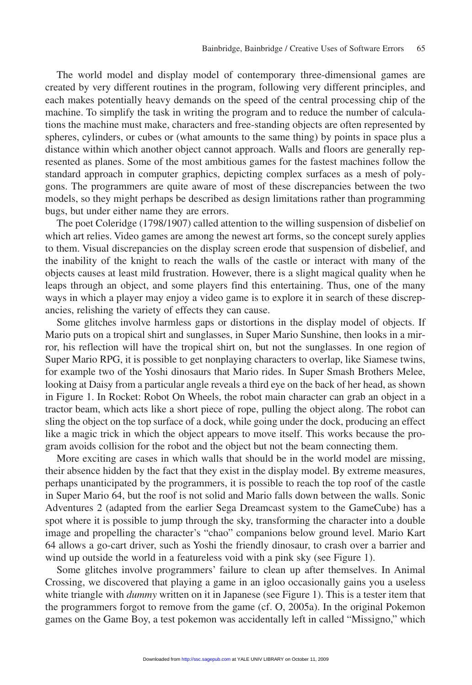The world model and display model of contemporary three-dimensional games are created by very different routines in the program, following very different principles, and each makes potentially heavy demands on the speed of the central processing chip of the machine. To simplify the task in writing the program and to reduce the number of calculations the machine must make, characters and free-standing objects are often represented by spheres, cylinders, or cubes or (what amounts to the same thing) by points in space plus a distance within which another object cannot approach. Walls and floors are generally represented as planes. Some of the most ambitious games for the fastest machines follow the standard approach in computer graphics, depicting complex surfaces as a mesh of polygons. The programmers are quite aware of most of these discrepancies between the two models, so they might perhaps be described as design limitations rather than programming bugs, but under either name they are errors.

The poet Coleridge (1798/1907) called attention to the willing suspension of disbelief on which art relies. Video games are among the newest art forms, so the concept surely applies to them. Visual discrepancies on the display screen erode that suspension of disbelief, and the inability of the knight to reach the walls of the castle or interact with many of the objects causes at least mild frustration. However, there is a slight magical quality when he leaps through an object, and some players find this entertaining. Thus, one of the many ways in which a player may enjoy a video game is to explore it in search of these discrepancies, relishing the variety of effects they can cause.

Some glitches involve harmless gaps or distortions in the display model of objects. If Mario puts on a tropical shirt and sunglasses, in Super Mario Sunshine, then looks in a mirror, his reflection will have the tropical shirt on, but not the sunglasses. In one region of Super Mario RPG, it is possible to get nonplaying characters to overlap, like Siamese twins, for example two of the Yoshi dinosaurs that Mario rides. In Super Smash Brothers Melee, looking at Daisy from a particular angle reveals a third eye on the back of her head, as shown in Figure 1. In Rocket: Robot On Wheels, the robot main character can grab an object in a tractor beam, which acts like a short piece of rope, pulling the object along. The robot can sling the object on the top surface of a dock, while going under the dock, producing an effect like a magic trick in which the object appears to move itself. This works because the program avoids collision for the robot and the object but not the beam connecting them.

More exciting are cases in which walls that should be in the world model are missing, their absence hidden by the fact that they exist in the display model. By extreme measures, perhaps unanticipated by the programmers, it is possible to reach the top roof of the castle in Super Mario 64, but the roof is not solid and Mario falls down between the walls. Sonic Adventures 2 (adapted from the earlier Sega Dreamcast system to the GameCube) has a spot where it is possible to jump through the sky, transforming the character into a double image and propelling the character's "chao" companions below ground level. Mario Kart 64 allows a go-cart driver, such as Yoshi the friendly dinosaur, to crash over a barrier and wind up outside the world in a featureless void with a pink sky (see Figure 1).

Some glitches involve programmers' failure to clean up after themselves. In Animal Crossing, we discovered that playing a game in an igloo occasionally gains you a useless white triangle with *dummy* writt[en on it in Ja](http://ssc.sagepub.com)panese (see Figure 1). This is a tester item that the programmers forgot to remove from the game (cf. O, 2005a). In the original Pokemon games on the Game Boy, a test pokemon was accidentally left in called "Missigno," which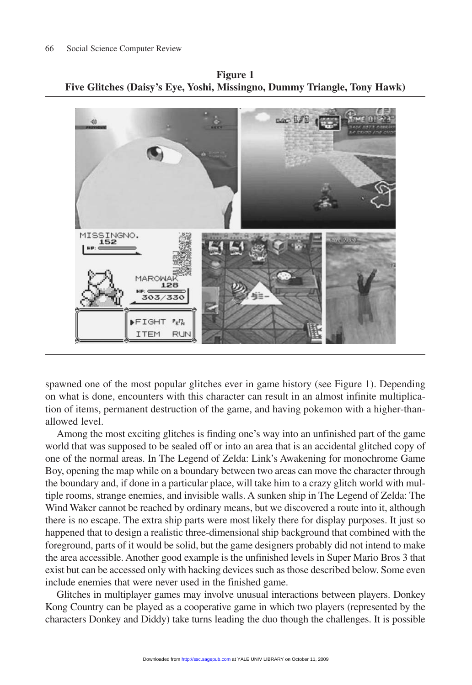**Figure 1 Five Glitches (Daisy's Eye, Yoshi, Missingno, Dummy Triangle, Tony Hawk)**



spawned one of the most popular glitches ever in game history (see Figure 1). Depending on what is done, encounters with this character can result in an almost infinite multiplication of items, permanent destruction of the game, and having pokemon with a higher-thanallowed level.

Among the most exciting glitches is finding one's way into an unfinished part of the game world that was supposed to be sealed off or into an area that is an accidental glitched copy of one of the normal areas. In The Legend of Zelda: Link's Awakening for monochrome Game Boy, opening the map while on a boundary between two areas can move the character through the boundary and, if done in a particular place, will take him to a crazy glitch world with multiple rooms, strange enemies, and invisible walls. A sunken ship in The Legend of Zelda: The Wind Waker cannot be reached by ordinary means, but we discovered a route into it, although there is no escape. The extra ship parts were most likely there for display purposes. It just so happened that to design a realistic three-dimensional ship background that combined with the foreground, parts of it would be solid, but the game designers probably did not intend to make the area accessible. Another good example is the unfinished levels in Super Mario Bros 3 that exist but can be accessed only with hacking devices such as those described below. Some even include enemies that were never used in the finished game.

Glitches in multiplayer games [may involve](http://ssc.sagepub.com) unusual interactions between players. Donkey Kong Country can be played as a cooperative game in which two players (represented by the characters Donkey and Diddy) take turns leading the duo though the challenges. It is possible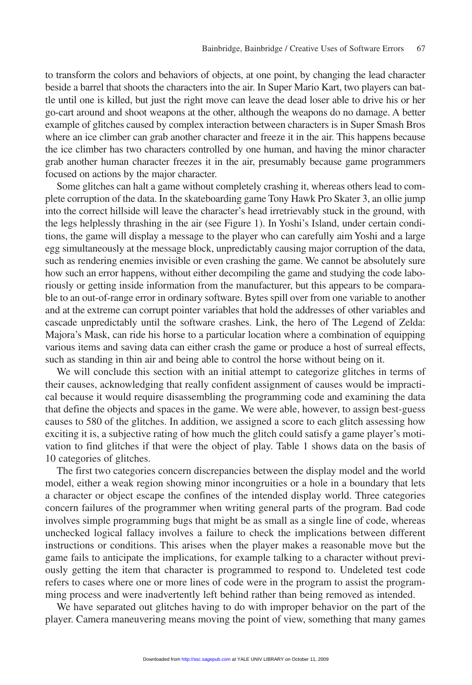to transform the colors and behaviors of objects, at one point, by changing the lead character beside a barrel that shoots the characters into the air. In Super Mario Kart, two players can battle until one is killed, but just the right move can leave the dead loser able to drive his or her go-cart around and shoot weapons at the other, although the weapons do no damage. A better example of glitches caused by complex interaction between characters is in Super Smash Bros where an ice climber can grab another character and freeze it in the air. This happens because the ice climber has two characters controlled by one human, and having the minor character grab another human character freezes it in the air, presumably because game programmers focused on actions by the major character.

Some glitches can halt a game without completely crashing it, whereas others lead to complete corruption of the data. In the skateboarding game Tony Hawk Pro Skater 3, an ollie jump into the correct hillside will leave the character's head irretrievably stuck in the ground, with the legs helplessly thrashing in the air (see Figure 1). In Yoshi's Island, under certain conditions, the game will display a message to the player who can carefully aim Yoshi and a large egg simultaneously at the message block, unpredictably causing major corruption of the data, such as rendering enemies invisible or even crashing the game. We cannot be absolutely sure how such an error happens, without either decompiling the game and studying the code laboriously or getting inside information from the manufacturer, but this appears to be comparable to an out-of-range error in ordinary software. Bytes spill over from one variable to another and at the extreme can corrupt pointer variables that hold the addresses of other variables and cascade unpredictably until the software crashes. Link, the hero of The Legend of Zelda: Majora's Mask, can ride his horse to a particular location where a combination of equipping various items and saving data can either crash the game or produce a host of surreal effects, such as standing in thin air and being able to control the horse without being on it.

We will conclude this section with an initial attempt to categorize glitches in terms of their causes, acknowledging that really confident assignment of causes would be impractical because it would require disassembling the programming code and examining the data that define the objects and spaces in the game. We were able, however, to assign best-guess causes to 580 of the glitches. In addition, we assigned a score to each glitch assessing how exciting it is, a subjective rating of how much the glitch could satisfy a game player's motivation to find glitches if that were the object of play. Table 1 shows data on the basis of 10 categories of glitches.

The first two categories concern discrepancies between the display model and the world model, either a weak region showing minor incongruities or a hole in a boundary that lets a character or object escape the confines of the intended display world. Three categories concern failures of the programmer when writing general parts of the program. Bad code involves simple programming bugs that might be as small as a single line of code, whereas unchecked logical fallacy involves a failure to check the implications between different instructions or conditions. This arises when the player makes a reasonable move but the game fails to anticipate the implications, for example talking to a character without previously getting the item that character is programmed to respond to. Undeleted test code refers to cases where one or more lines of code were in the program to assist the programming process and were inadvert[ently left beh](http://ssc.sagepub.com)ind rather than being removed as intended.

We have separated out glitches having to do with improper behavior on the part of the player. Camera maneuvering means moving the point of view, something that many games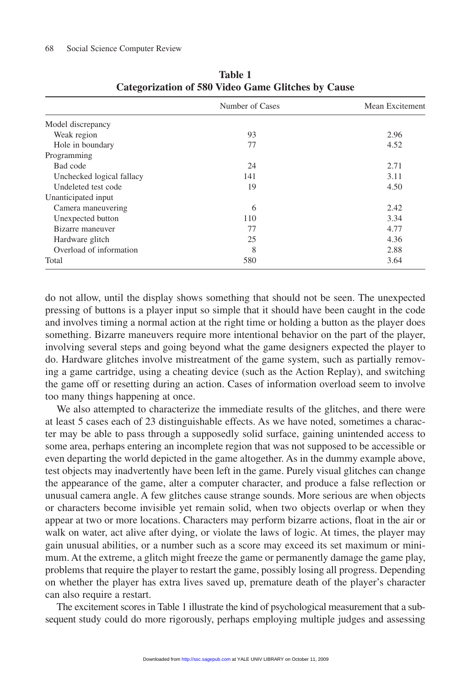|                           | Number of Cases | Mean Excitement |
|---------------------------|-----------------|-----------------|
| Model discrepancy         |                 |                 |
| Weak region               | 93              | 2.96            |
| Hole in boundary          | 77              | 4.52            |
| Programming               |                 |                 |
| Bad code                  | 24              | 2.71            |
| Unchecked logical fallacy | 141             | 3.11            |
| Undeleted test code       | 19              | 4.50            |
| Unanticipated input       |                 |                 |
| Camera maneuvering        | 6               | 2.42            |
| Unexpected button         | 110             | 3.34            |
| Bizarre maneuver          | 77              | 4.77            |
| Hardware glitch           | 25              | 4.36            |
| Overload of information   | 8               | 2.88            |
| Total                     | 580             | 3.64            |

**Table 1 Categorization of 580 Video Game Glitches by Cause**

do not allow, until the display shows something that should not be seen. The unexpected pressing of buttons is a player input so simple that it should have been caught in the code and involves timing a normal action at the right time or holding a button as the player does something. Bizarre maneuvers require more intentional behavior on the part of the player, involving several steps and going beyond what the game designers expected the player to do. Hardware glitches involve mistreatment of the game system, such as partially removing a game cartridge, using a cheating device (such as the Action Replay), and switching the game off or resetting during an action. Cases of information overload seem to involve too many things happening at once.

We also attempted to characterize the immediate results of the glitches, and there were at least 5 cases each of 23 distinguishable effects. As we have noted, sometimes a character may be able to pass through a supposedly solid surface, gaining unintended access to some area, perhaps entering an incomplete region that was not supposed to be accessible or even departing the world depicted in the game altogether. As in the dummy example above, test objects may inadvertently have been left in the game. Purely visual glitches can change the appearance of the game, alter a computer character, and produce a false reflection or unusual camera angle. A few glitches cause strange sounds. More serious are when objects or characters become invisible yet remain solid, when two objects overlap or when they appear at two or more locations. Characters may perform bizarre actions, float in the air or walk on water, act alive after dying, or violate the laws of logic. At times, the player may gain unusual abilities, or a number such as a score may exceed its set maximum or minimum. At the extreme, a glitch might freeze the game or permanently damage the game play, problems that require the player to restart the game, possibly losing all progress. Depending on whether the player has extra [lives saved](http://ssc.sagepub.com) up, premature death of the player's character can also require a restart.

The excitement scores in Table 1 illustrate the kind of psychological measurement that a subsequent study could do more rigorously, perhaps employing multiple judges and assessing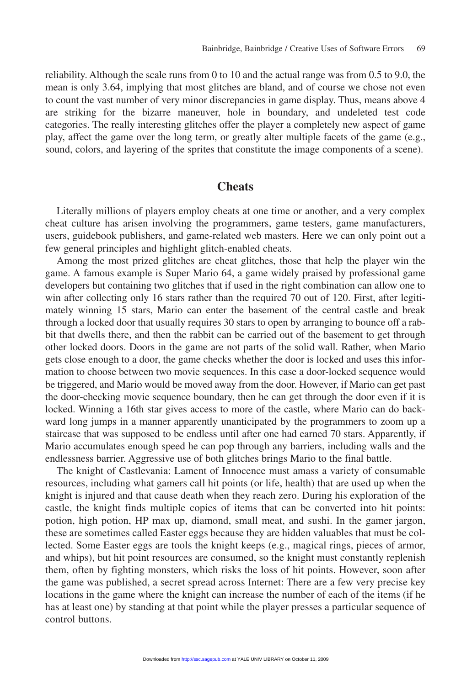reliability. Although the scale runs from 0 to 10 and the actual range was from 0.5 to 9.0, the mean is only 3.64, implying that most glitches are bland, and of course we chose not even to count the vast number of very minor discrepancies in game display. Thus, means above 4 are striking for the bizarre maneuver, hole in boundary, and undeleted test code categories. The really interesting glitches offer the player a completely new aspect of game play, affect the game over the long term, or greatly alter multiple facets of the game (e.g., sound, colors, and layering of the sprites that constitute the image components of a scene).

## **Cheats**

Literally millions of players employ cheats at one time or another, and a very complex cheat culture has arisen involving the programmers, game testers, game manufacturers, users, guidebook publishers, and game-related web masters. Here we can only point out a few general principles and highlight glitch-enabled cheats.

Among the most prized glitches are cheat glitches, those that help the player win the game. A famous example is Super Mario 64, a game widely praised by professional game developers but containing two glitches that if used in the right combination can allow one to win after collecting only 16 stars rather than the required 70 out of 120. First, after legitimately winning 15 stars, Mario can enter the basement of the central castle and break through a locked door that usually requires 30 stars to open by arranging to bounce off a rabbit that dwells there, and then the rabbit can be carried out of the basement to get through other locked doors. Doors in the game are not parts of the solid wall. Rather, when Mario gets close enough to a door, the game checks whether the door is locked and uses this information to choose between two movie sequences. In this case a door-locked sequence would be triggered, and Mario would be moved away from the door. However, if Mario can get past the door-checking movie sequence boundary, then he can get through the door even if it is locked. Winning a 16th star gives access to more of the castle, where Mario can do backward long jumps in a manner apparently unanticipated by the programmers to zoom up a staircase that was supposed to be endless until after one had earned 70 stars. Apparently, if Mario accumulates enough speed he can pop through any barriers, including walls and the endlessness barrier. Aggressive use of both glitches brings Mario to the final battle.

The knight of Castlevania: Lament of Innocence must amass a variety of consumable resources, including what gamers call hit points (or life, health) that are used up when the knight is injured and that cause death when they reach zero. During his exploration of the castle, the knight finds multiple copies of items that can be converted into hit points: potion, high potion, HP max up, diamond, small meat, and sushi. In the gamer jargon, these are sometimes called Easter eggs because they are hidden valuables that must be collected. Some Easter eggs are tools the knight keeps (e.g., magical rings, pieces of armor, and whips), but hit point resources are consumed, so the knight must constantly replenish them, often by fighting monsters, which risks the loss of hit points. However, soon after the game was published, a secret spread across Internet: There are a few very precise key locations in the game where the [knight can i](http://ssc.sagepub.com)ncrease the number of each of the items (if he has at least one) by standing at that point while the player presses a particular sequence of control buttons.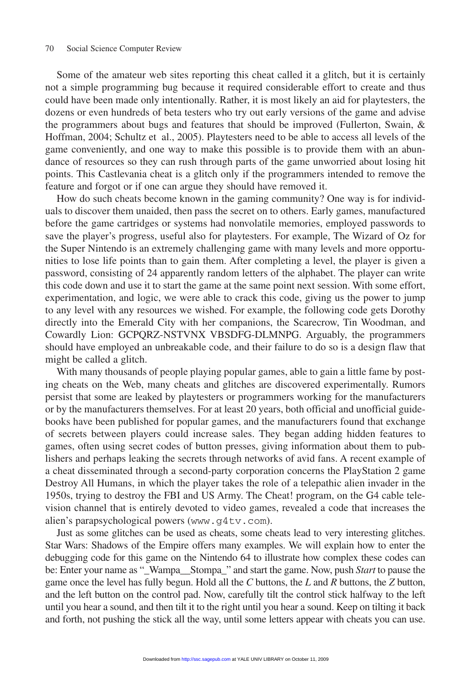Some of the amateur web sites reporting this cheat called it a glitch, but it is certainly not a simple programming bug because it required considerable effort to create and thus could have been made only intentionally. Rather, it is most likely an aid for playtesters, the dozens or even hundreds of beta testers who try out early versions of the game and advise the programmers about bugs and features that should be improved (Fullerton, Swain, & Hoffman, 2004; Schultz et al., 2005). Playtesters need to be able to access all levels of the game conveniently, and one way to make this possible is to provide them with an abundance of resources so they can rush through parts of the game unworried about losing hit points. This Castlevania cheat is a glitch only if the programmers intended to remove the feature and forgot or if one can argue they should have removed it.

How do such cheats become known in the gaming community? One way is for individuals to discover them unaided, then pass the secret on to others. Early games, manufactured before the game cartridges or systems had nonvolatile memories, employed passwords to save the player's progress, useful also for playtesters. For example, The Wizard of Oz for the Super Nintendo is an extremely challenging game with many levels and more opportunities to lose life points than to gain them. After completing a level, the player is given a password, consisting of 24 apparently random letters of the alphabet. The player can write this code down and use it to start the game at the same point next session. With some effort, experimentation, and logic, we were able to crack this code, giving us the power to jump to any level with any resources we wished. For example, the following code gets Dorothy directly into the Emerald City with her companions, the Scarecrow, Tin Woodman, and Cowardly Lion: GCPQRZ-NSTVNX VBSDFG-DLMNPG. Arguably, the programmers should have employed an unbreakable code, and their failure to do so is a design flaw that might be called a glitch.

With many thousands of people playing popular games, able to gain a little fame by posting cheats on the Web, many cheats and glitches are discovered experimentally. Rumors persist that some are leaked by playtesters or programmers working for the manufacturers or by the manufacturers themselves. For at least 20 years, both official and unofficial guidebooks have been published for popular games, and the manufacturers found that exchange of secrets between players could increase sales. They began adding hidden features to games, often using secret codes of button presses, giving information about them to publishers and perhaps leaking the secrets through networks of avid fans. A recent example of a cheat disseminated through a second-party corporation concerns the PlayStation 2 game Destroy All Humans, in which the player takes the role of a telepathic alien invader in the 1950s, trying to destroy the FBI and US Army. The Cheat! program, on the G4 cable television channel that is entirely devoted to video games, revealed a code that increases the alien's parapsychological powers (www.g4tv.com).

Just as some glitches can be used as cheats, some cheats lead to very interesting glitches. Star Wars: Shadows of the Empire offers many examples. We will explain how to enter the debugging code for this game on the Nintendo 64 to illustrate how complex these codes can be: Enter your name as "\_Wampa\_\_Stompa\_" and start the game. Now, push *Start* to pause the game once the level has fully begun. Hold all the *C* buttons, the *L* and *R* buttons, the *Z* button, and the left button on the control [pad. Now,](http://ssc.sagepub.com) [c](http://ssc.sagepub.com)arefully tilt the control stick halfway to the left until you hear a sound, and then tilt it to the right until you hear a sound. Keep on tilting it back and forth, not pushing the stick all the way, until some letters appear with cheats you can use.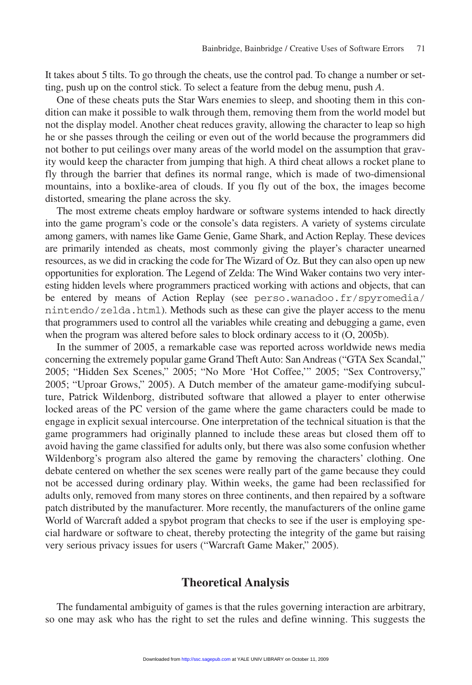It takes about 5 tilts. To go through the cheats, use the control pad. To change a number or setting, push up on the control stick. To select a feature from the debug menu, push *A*.

One of these cheats puts the Star Wars enemies to sleep, and shooting them in this condition can make it possible to walk through them, removing them from the world model but not the display model. Another cheat reduces gravity, allowing the character to leap so high he or she passes through the ceiling or even out of the world because the programmers did not bother to put ceilings over many areas of the world model on the assumption that gravity would keep the character from jumping that high. A third cheat allows a rocket plane to fly through the barrier that defines its normal range, which is made of two-dimensional mountains, into a boxlike-area of clouds. If you fly out of the box, the images become distorted, smearing the plane across the sky.

The most extreme cheats employ hardware or software systems intended to hack directly into the game program's code or the console's data registers. A variety of systems circulate among gamers, with names like Game Genie, Game Shark, and Action Replay. These devices are primarily intended as cheats, most commonly giving the player's character unearned resources, as we did in cracking the code for The Wizard of Oz. But they can also open up new opportunities for exploration. The Legend of Zelda: The Wind Waker contains two very interesting hidden levels where programmers practiced working with actions and objects, that can be entered by means of Action Replay (see perso.wanadoo.fr/spyromedia/ nintendo/zelda.html). Methods such as these can give the player access to the menu that programmers used to control all the variables while creating and debugging a game, even when the program was altered before sales to block ordinary access to it (O, 2005b).

In the summer of 2005, a remarkable case was reported across worldwide news media concerning the extremely popular game Grand Theft Auto: San Andreas ("GTA Sex Scandal," 2005; "Hidden Sex Scenes," 2005; "No More 'Hot Coffee,'" 2005; "Sex Controversy," 2005; "Uproar Grows," 2005). A Dutch member of the amateur game-modifying subculture, Patrick Wildenborg, distributed software that allowed a player to enter otherwise locked areas of the PC version of the game where the game characters could be made to engage in explicit sexual intercourse. One interpretation of the technical situation is that the game programmers had originally planned to include these areas but closed them off to avoid having the game classified for adults only, but there was also some confusion whether Wildenborg's program also altered the game by removing the characters' clothing. One debate centered on whether the sex scenes were really part of the game because they could not be accessed during ordinary play. Within weeks, the game had been reclassified for adults only, removed from many stores on three continents, and then repaired by a software patch distributed by the manufacturer. More recently, the manufacturers of the online game World of Warcraft added a spybot program that checks to see if the user is employing special hardware or software to cheat, thereby protecting the integrity of the game but raising very serious privacy issues for users ("Warcraft Game Maker," 2005).

## **[Theoretic](http://ssc.sagepub.com)al Analysis**

The fundamental ambiguity of games is that the rules governing interaction are arbitrary, so one may ask who has the right to set the rules and define winning. This suggests the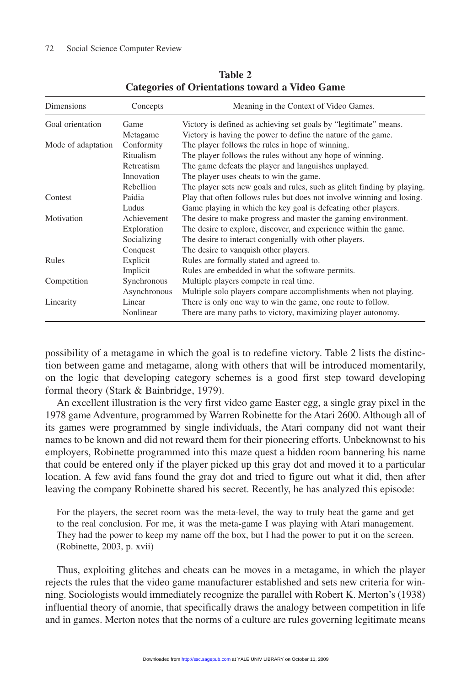| Dimensions               | Concepts     | Meaning in the Context of Video Games.                                  |  |
|--------------------------|--------------|-------------------------------------------------------------------------|--|
| Goal orientation<br>Game |              | Victory is defined as achieving set goals by "legitimate" means.        |  |
|                          | Metagame     | Victory is having the power to define the nature of the game.           |  |
| Mode of adaptation       | Conformity   | The player follows the rules in hope of winning.                        |  |
|                          | Ritualism    | The player follows the rules without any hope of winning.               |  |
|                          | Retreatism   | The game defeats the player and languishes unplayed.                    |  |
|                          | Innovation   | The player uses cheats to win the game.                                 |  |
|                          | Rebellion    | The player sets new goals and rules, such as glitch finding by playing. |  |
| Paidia<br>Contest        |              | Play that often follows rules but does not involve winning and losing.  |  |
|                          | Ludus        | Game playing in which the key goal is defeating other players.          |  |
| Motivation               | Achievement  | The desire to make progress and master the gaming environment.          |  |
|                          | Exploration  | The desire to explore, discover, and experience within the game.        |  |
|                          | Socializing  | The desire to interact congenially with other players.                  |  |
|                          | Conquest     | The desire to vanguish other players.                                   |  |
| Rules                    | Explicit     | Rules are formally stated and agreed to.                                |  |
|                          | Implicit     | Rules are embedded in what the software permits.                        |  |
| Competition              | Synchronous  | Multiple players compete in real time.                                  |  |
|                          | Asynchronous | Multiple solo players compare accomplishments when not playing.         |  |
| Linearity                | Linear       | There is only one way to win the game, one route to follow.             |  |
|                          | Nonlinear    | There are many paths to victory, maximizing player autonomy.            |  |

**Table 2 Categories of Orientations toward a Video Game**

possibility of a metagame in which the goal is to redefine victory. Table 2 lists the distinction between game and metagame, along with others that will be introduced momentarily, on the logic that developing category schemes is a good first step toward developing formal theory (Stark & Bainbridge, 1979).

An excellent illustration is the very first video game Easter egg, a single gray pixel in the 1978 game Adventure, programmed by Warren Robinette for the Atari 2600. Although all of its games were programmed by single individuals, the Atari company did not want their names to be known and did not reward them for their pioneering efforts. Unbeknownst to his employers, Robinette programmed into this maze quest a hidden room bannering his name that could be entered only if the player picked up this gray dot and moved it to a particular location. A few avid fans found the gray dot and tried to figure out what it did, then after leaving the company Robinette shared his secret. Recently, he has analyzed this episode:

For the players, the secret room was the meta-level, the way to truly beat the game and get to the real conclusion. For me, it was the meta-game I was playing with Atari management. They had the power to keep my name off the box, but I had the power to put it on the screen. (Robinette, 2003, p. xvii)

Thus, exploiting glitches and cheats can be moves in a metagame, in which the player rejects the rules that the video game manufacturer established and sets new criteria for winning. Sociologists would immed[iately recogn](http://ssc.sagepub.com)ize the parallel with Robert K. Merton's (1938) influential theory of anomie, that specifically draws the analogy between competition in life and in games. Merton notes that the norms of a culture are rules governing legitimate means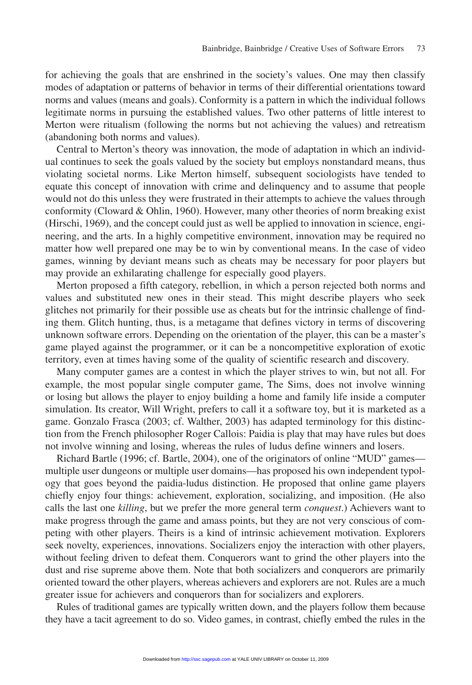for achieving the goals that are enshrined in the society's values. One may then classify modes of adaptation or patterns of behavior in terms of their differential orientations toward norms and values (means and goals). Conformity is a pattern in which the individual follows legitimate norms in pursuing the established values. Two other patterns of little interest to Merton were ritualism (following the norms but not achieving the values) and retreatism (abandoning both norms and values).

Central to Merton's theory was innovation, the mode of adaptation in which an individual continues to seek the goals valued by the society but employs nonstandard means, thus violating societal norms. Like Merton himself, subsequent sociologists have tended to equate this concept of innovation with crime and delinquency and to assume that people would not do this unless they were frustrated in their attempts to achieve the values through conformity (Cloward & Ohlin, 1960). However, many other theories of norm breaking exist (Hirschi, 1969), and the concept could just as well be applied to innovation in science, engineering, and the arts. In a highly competitive environment, innovation may be required no matter how well prepared one may be to win by conventional means. In the case of video games, winning by deviant means such as cheats may be necessary for poor players but may provide an exhilarating challenge for especially good players.

Merton proposed a fifth category, rebellion, in which a person rejected both norms and values and substituted new ones in their stead. This might describe players who seek glitches not primarily for their possible use as cheats but for the intrinsic challenge of finding them. Glitch hunting, thus, is a metagame that defines victory in terms of discovering unknown software errors. Depending on the orientation of the player, this can be a master's game played against the programmer, or it can be a noncompetitive exploration of exotic territory, even at times having some of the quality of scientific research and discovery.

Many computer games are a contest in which the player strives to win, but not all. For example, the most popular single computer game, The Sims, does not involve winning or losing but allows the player to enjoy building a home and family life inside a computer simulation. Its creator, Will Wright, prefers to call it a software toy, but it is marketed as a game. Gonzalo Frasca (2003; cf. Walther, 2003) has adapted terminology for this distinction from the French philosopher Roger Callois: Paidia is play that may have rules but does not involve winning and losing, whereas the rules of ludus define winners and losers.

Richard Bartle (1996; cf. Bartle, 2004), one of the originators of online "MUD" games multiple user dungeons or multiple user domains—has proposed his own independent typology that goes beyond the paidia-ludus distinction. He proposed that online game players chiefly enjoy four things: achievement, exploration, socializing, and imposition. (He also calls the last one *killing*, but we prefer the more general term *conquest*.) Achievers want to make progress through the game and amass points, but they are not very conscious of competing with other players. Theirs is a kind of intrinsic achievement motivation. Explorers seek novelty, experiences, innovations. Socializers enjoy the interaction with other players, without feeling driven to defeat them. Conquerors want to grind the other players into the dust and rise supreme above them. Note that both socializers and conquerors are primarily oriented toward the other players, whereas achievers and explorers are not. Rules are a much greater issue for achievers and c[onquerors tha](http://ssc.sagepub.com)n for socializers and explorers.

Rules of traditional games are typically written down, and the players follow them because they have a tacit agreement to do so. Video games, in contrast, chiefly embed the rules in the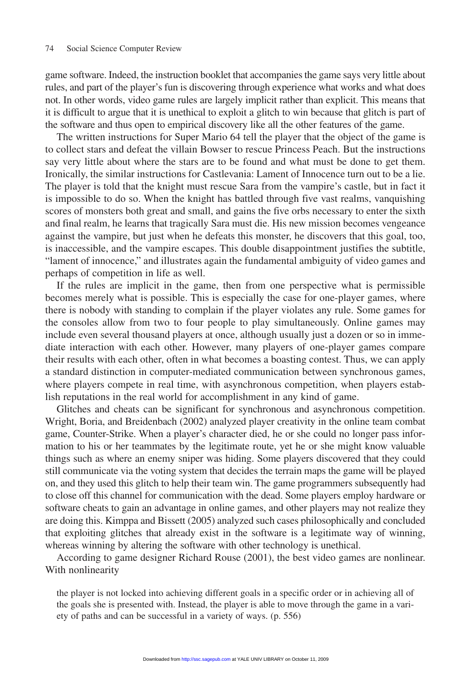game software. Indeed, the instruction booklet that accompanies the game says very little about rules, and part of the player's fun is discovering through experience what works and what does not. In other words, video game rules are largely implicit rather than explicit. This means that it is difficult to argue that it is unethical to exploit a glitch to win because that glitch is part of the software and thus open to empirical discovery like all the other features of the game.

The written instructions for Super Mario 64 tell the player that the object of the game is to collect stars and defeat the villain Bowser to rescue Princess Peach. But the instructions say very little about where the stars are to be found and what must be done to get them. Ironically, the similar instructions for Castlevania: Lament of Innocence turn out to be a lie. The player is told that the knight must rescue Sara from the vampire's castle, but in fact it is impossible to do so. When the knight has battled through five vast realms, vanquishing scores of monsters both great and small, and gains the five orbs necessary to enter the sixth and final realm, he learns that tragically Sara must die. His new mission becomes vengeance against the vampire, but just when he defeats this monster, he discovers that this goal, too, is inaccessible, and the vampire escapes. This double disappointment justifies the subtitle, "lament of innocence," and illustrates again the fundamental ambiguity of video games and perhaps of competition in life as well.

If the rules are implicit in the game, then from one perspective what is permissible becomes merely what is possible. This is especially the case for one-player games, where there is nobody with standing to complain if the player violates any rule. Some games for the consoles allow from two to four people to play simultaneously. Online games may include even several thousand players at once, although usually just a dozen or so in immediate interaction with each other. However, many players of one-player games compare their results with each other, often in what becomes a boasting contest. Thus, we can apply a standard distinction in computer-mediated communication between synchronous games, where players compete in real time, with asynchronous competition, when players establish reputations in the real world for accomplishment in any kind of game.

Glitches and cheats can be significant for synchronous and asynchronous competition. Wright, Boria, and Breidenbach (2002) analyzed player creativity in the online team combat game, Counter-Strike. When a player's character died, he or she could no longer pass information to his or her teammates by the legitimate route, yet he or she might know valuable things such as where an enemy sniper was hiding. Some players discovered that they could still communicate via the voting system that decides the terrain maps the game will be played on, and they used this glitch to help their team win. The game programmers subsequently had to close off this channel for communication with the dead. Some players employ hardware or software cheats to gain an advantage in online games, and other players may not realize they are doing this. Kimppa and Bissett (2005) analyzed such cases philosophically and concluded that exploiting glitches that already exist in the software is a legitimate way of winning, whereas winning by altering the software with other technology is unethical.

According to game designer Richard Rouse (2001), the best video games are nonlinear. With nonlinearity

the player is not locked into ach[ieving differen](http://ssc.sagepub.com)t goals in a specific order or in achieving all of the goals she is presented with. Instead, the player is able to move through the game in a variety of paths and can be successful in a variety of ways. (p. 556)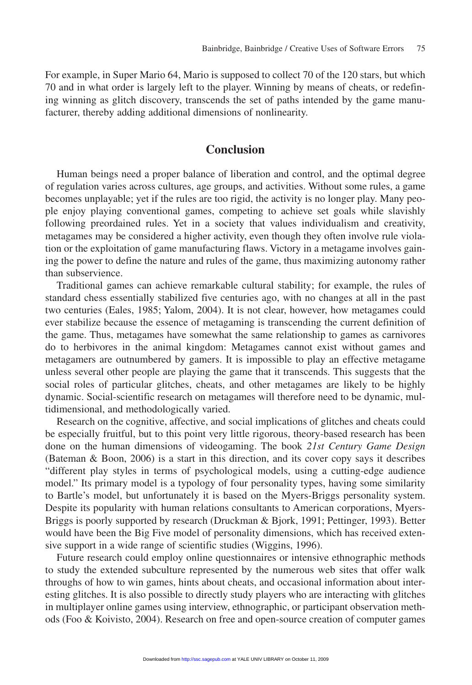For example, in Super Mario 64, Mario is supposed to collect 70 of the 120 stars, but which 70 and in what order is largely left to the player. Winning by means of cheats, or redefining winning as glitch discovery, transcends the set of paths intended by the game manufacturer, thereby adding additional dimensions of nonlinearity.

## **Conclusion**

Human beings need a proper balance of liberation and control, and the optimal degree of regulation varies across cultures, age groups, and activities. Without some rules, a game becomes unplayable; yet if the rules are too rigid, the activity is no longer play. Many people enjoy playing conventional games, competing to achieve set goals while slavishly following preordained rules. Yet in a society that values individualism and creativity, metagames may be considered a higher activity, even though they often involve rule violation or the exploitation of game manufacturing flaws. Victory in a metagame involves gaining the power to define the nature and rules of the game, thus maximizing autonomy rather than subservience.

Traditional games can achieve remarkable cultural stability; for example, the rules of standard chess essentially stabilized five centuries ago, with no changes at all in the past two centuries (Eales, 1985; Yalom, 2004). It is not clear, however, how metagames could ever stabilize because the essence of metagaming is transcending the current definition of the game. Thus, metagames have somewhat the same relationship to games as carnivores do to herbivores in the animal kingdom: Metagames cannot exist without games and metagamers are outnumbered by gamers. It is impossible to play an effective metagame unless several other people are playing the game that it transcends. This suggests that the social roles of particular glitches, cheats, and other metagames are likely to be highly dynamic. Social-scientific research on metagames will therefore need to be dynamic, multidimensional, and methodologically varied.

Research on the cognitive, affective, and social implications of glitches and cheats could be especially fruitful, but to this point very little rigorous, theory-based research has been done on the human dimensions of videogaming. The book *21st Century Game Design* (Bateman & Boon, 2006) is a start in this direction, and its cover copy says it describes "different play styles in terms of psychological models, using a cutting-edge audience model." Its primary model is a typology of four personality types, having some similarity to Bartle's model, but unfortunately it is based on the Myers-Briggs personality system. Despite its popularity with human relations consultants to American corporations, Myers-Briggs is poorly supported by research (Druckman & Bjork, 1991; Pettinger, 1993). Better would have been the Big Five model of personality dimensions, which has received extensive support in a wide range of scientific studies (Wiggins, 1996).

Future research could employ online questionnaires or intensive ethnographic methods to study the extended subculture represented by the numerous web sites that offer walk throughs of how to win games, hints about cheats, and occasional information about interesting glitches. It is also possibl[e to directly s](http://ssc.sagepub.com)tudy players who are interacting with glitches in multiplayer online games using interview, ethnographic, or participant observation methods (Foo & Koivisto, 2004). Research on free and open-source creation of computer games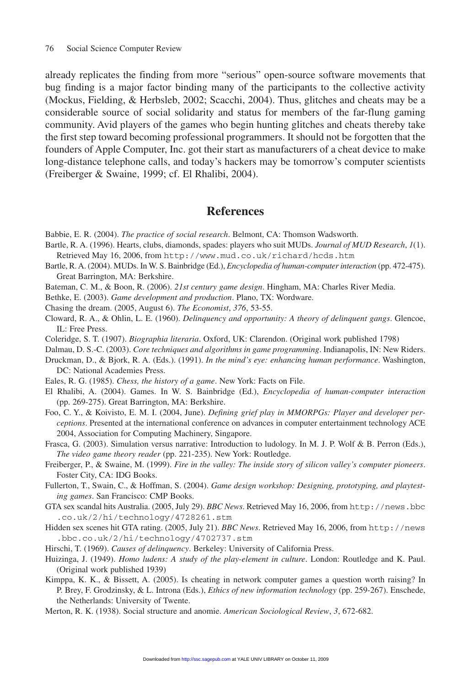already replicates the finding from more "serious" open-source software movements that bug finding is a major factor binding many of the participants to the collective activity (Mockus, Fielding, & Herbsleb, 2002; Scacchi, 2004). Thus, glitches and cheats may be a considerable source of social solidarity and status for members of the far-flung gaming community. Avid players of the games who begin hunting glitches and cheats thereby take the first step toward becoming professional programmers. It should not be forgotten that the founders of Apple Computer, Inc. got their start as manufacturers of a cheat device to make long-distance telephone calls, and today's hackers may be tomorrow's computer scientists (Freiberger & Swaine, 1999; cf. El Rhalibi, 2004).

## **References**

Babbie, E. R. (2004). *The practice of social research*. Belmont, CA: Thomson Wadsworth.

- Bartle, R. A. (1996). Hearts, clubs, diamonds, spades: players who suit MUDs. *Journal of MUD Research*, *1*(1). Retrieved May 16, 2006, from http://www.mud.co.uk/richard/hcds.htm
- Bartle, R. A. (2004). MUDs. In W. S. Bainbridge (Ed.), *Encyclopedia of human-computer interaction* (pp. 472-475). Great Barrington, MA: Berkshire.
- Bateman, C. M., & Boon, R. (2006). *21st century game design*. Hingham, MA: Charles River Media.
- Bethke, E. (2003). *Game development and production*. Plano, TX: Wordware.
- Chasing the dream. (2005, August 6). *The Economist*, *376*, 53-55.
- Cloward, R. A., & Ohlin, L. E. (1960). *Delinquency and opportunity: A theory of delinquent gangs*. Glencoe, IL: Free Press.
- Coleridge, S. T. (1907). *Biographia literaria*. Oxford, UK: Clarendon. (Original work published 1798)
- Dalmau, D. S.-C. (2003). *Core techniques and algorithms in game programming*. Indianapolis, IN: New Riders.
- Druckman, D., & Bjork, R. A. (Eds.). (1991). *In the mind's eye: enhancing human performance*. Washington, DC: National Academies Press.
- Eales, R. G. (1985). *Chess, the history of a game*. New York: Facts on File.
- El Rhalibi, A. (2004). Games. In W. S. Bainbridge (Ed.), *Encyclopedia of human-computer interaction* (pp. 269-275). Great Barrington, MA: Berkshire.
- Foo, C. Y., & Koivisto, E. M. I. (2004, June). *Defining grief play in MMORPGs: Player and developer perceptions*. Presented at the international conference on advances in computer entertainment technology ACE 2004, Association for Computing Machinery, Singapore.
- Frasca, G. (2003). Simulation versus narrative: Introduction to ludology. In M. J. P. Wolf & B. Perron (Eds.), *The video game theory reader* (pp. 221-235). New York: Routledge.
- Freiberger, P., & Swaine, M. (1999). *Fire in the valley: The inside story of silicon valley's computer pioneers*. Foster City, CA: IDG Books.
- Fullerton, T., Swain, C., & Hoffman, S. (2004). *Game design workshop: Designing, prototyping, and playtesting games*. San Francisco: CMP Books.
- GTA sex scandal hits Australia. (2005, July 29). *BBC News*. Retrieved May 16, 2006, from http://news.bbc .co.uk/2/hi/technology/4728261.stm
- Hidden sex scenes hit GTA rating. (2005, July 21). *BBC News*. Retrieved May 16, 2006, from http://news .bbc.co.uk/2/hi/technology/4702737.stm
- Hirschi, T. (1969). *Causes of delinquency*. Berkeley: University of California Press.
- Huizinga, J. (1949). *Homo ludens: A study of the play-element in culture*. London: Routledge and K. Paul. (Original work published 1939)
- Kimppa, K. K., & Bissett, A. (2005). Is cheating in network computer games a question worth raising? In P. Brey, F. Grodzinsky, & L. Introna [\(Eds.\),](http://ssc.sagepub.com) *Ethics of new information technology* (pp. 259-267). Enschede, the Netherlands: University of Twente.
- Merton, R. K. (1938). Social structure and anomie. *American Sociological Review*, *3*, 672-682.